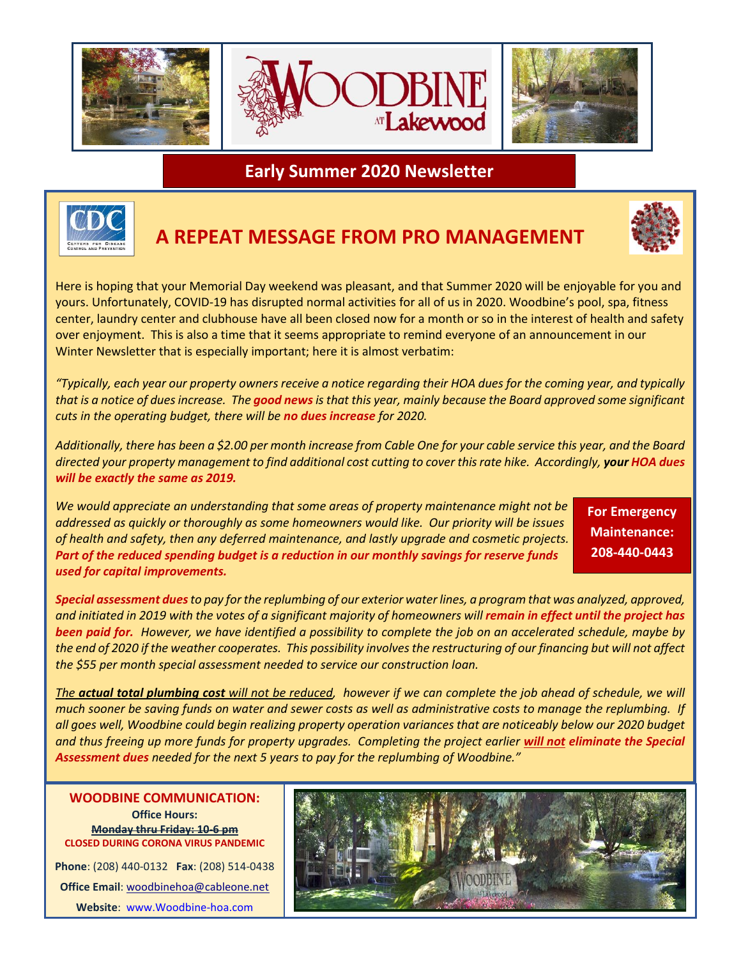

**Early Summer 2020 Newsletter**



## **A REPEAT MESSAGE FROM PRO MANAGEMENT**



Here is hoping that your Memorial Day weekend was pleasant, and that Summer 2020 will be enjoyable for you and yours. Unfortunately, COVID-19 has disrupted normal activities for all of us in 2020. Woodbine's pool, spa, fitness center, laundry center and clubhouse have all been closed now for a month or so in the interest of health and safety over enjoyment. This is also a time that it seems appropriate to remind everyone of an announcement in our Winter Newsletter that is especially important; here it is almost verbatim:

*"Typically, each year our property owners receive a notice regarding their HOA dues for the coming year, and typically that is a notice of dues increase. The good newsis that this year, mainly because the Board approved some significant cuts in the operating budget, there will be no dues increase for 2020.* 

*Additionally, there has been a \$2.00 per month increase from Cable One for your cable service this year, and the Board directed your property management to find additional cost cutting to cover this rate hike. Accordingly, your HOA dues will be exactly the same as 2019.*

*We would appreciate an understanding that some areas of property maintenance might not be addressed as quickly or thoroughly as some homeowners would like. Our priority will be issues of health and safety, then any deferred maintenance, and lastly upgrade and cosmetic projects. Part of the reduced spending budget is a reduction in our monthly savings for reserve funds used for capital improvements.*

**For Emergency Maintenance: 208-440-0443**

*Special assessment duesto pay for the replumbing of our exterior water lines, a program that was analyzed, approved, and initiated in 2019 with the votes of a significant majority of homeowners will remain in effect until the project has been paid for. However, we have identified a possibility to complete the job on an accelerated schedule, maybe by the end of 2020 if the weather cooperates. This possibility involves the restructuring of our financing but will not affect the \$55 per month special assessment needed to service our construction loan.* 

*The actual total plumbing cost will not be reduced, however if we can complete the job ahead of schedule, we will much sooner be saving funds on water and sewer costs as well as administrative costs to manage the replumbing. If all goes well, Woodbine could begin realizing property operation variances that are noticeably below our 2020 budget and thus freeing up more funds for property upgrades. Completing the project earlier will not eliminate the Special Assessment dues needed for the next 5 years to pay for the replumbing of Woodbine."*

**Office Hours: Monday thru Friday: 10-6 pm CLOSED DURING CORONA VIRUS PANDEMIC Phone**: (208) 440-0132 **Fax**: (208) 514-0438 **Office Email**[: woodbinehoa@cableone.net](mailto:woodbinehoa@cableone.net) **Website**: [www.Woodbine-hoa.com](http://www.woodbine-hoa.com/)

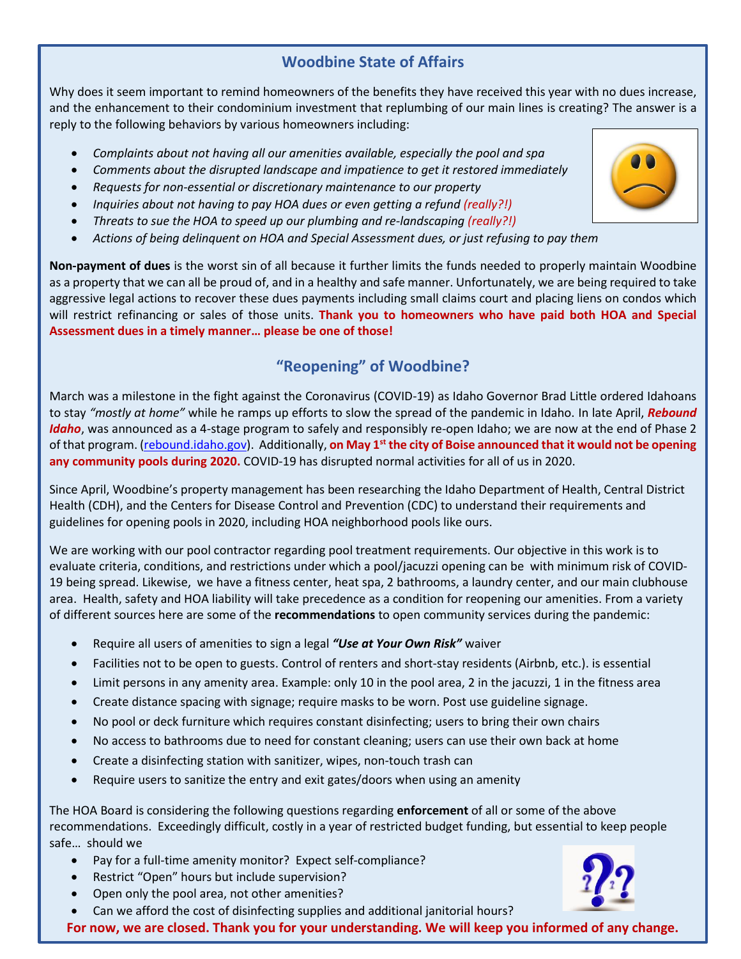### **Woodbine State of Affairs**

Why does it seem important to remind homeowners of the benefits they have received this year with no dues increase, and the enhancement to their condominium investment that replumbing of our main lines is creating? The answer is a reply to the following behaviors by various homeowners including:

- *Complaints about not having all our amenities available, especially the pool and spa*
- *Comments about the disrupted landscape and impatience to get it restored immediately*
- *Requests for non-essential or discretionary maintenance to our property*
- *Inquiries about not having to pay HOA dues or even getting a refund (really?!)*
- *Threats to sue the HOA to speed up our plumbing and re-landscaping (really?!)*
- *Actions of being delinquent on HOA and Special Assessment dues, or just refusing to pay them*

**Non-payment of dues** is the worst sin of all because it further limits the funds needed to properly maintain Woodbine as a property that we can all be proud of, and in a healthy and safe manner. Unfortunately, we are being required to take aggressive legal actions to recover these dues payments including small claims court and placing liens on condos which will restrict refinancing or sales of those units. **Thank you to homeowners who have paid both HOA and Special Assessment dues in a timely manner… please be one of those!**

### **"Reopening" of Woodbine?**

March was a milestone in the fight against the Coronavirus (COVID-19) as Idaho Governor Brad Little ordered Idahoans to stay *"mostly at home"* while he ramps up efforts to slow the spread of the pandemic in Idaho. In late April, *Rebound Idaho*, was announced as a 4-stage program to safely and responsibly re-open Idaho; we are now at the end of Phase 2 of that program. (rebound.idaho.gov). Additionally, **on May 1st the city of Boise announced that it would not be opening any community pools during 2020.** COVID-19 has disrupted normal activities for all of us in 2020.

Since April, Woodbine's property management has been researching the Idaho Department of Health, Central District Health (CDH), and the Centers for Disease Control and Prevention (CDC) to understand their requirements and guidelines for opening pools in 2020, including HOA neighborhood pools like ours.

We are working with our pool contractor regarding pool treatment requirements. Our objective in this work is to evaluate criteria, conditions, and restrictions under which a pool/jacuzzi opening can be with minimum risk of COVID-19 being spread. Likewise, we have a fitness center, heat spa, 2 bathrooms, a laundry center, and our main clubhouse area. Health, safety and HOA liability will take precedence as a condition for reopening our amenities. From a variety of different sources here are some of the **recommendations** to open community services during the pandemic:

- Require all users of amenities to sign a legal *"Use at Your Own Risk"* waiver
- Facilities not to be open to guests. Control of renters and short-stay residents (Airbnb, etc.). is essential
- Limit persons in any amenity area. Example: only 10 in the pool area, 2 in the jacuzzi, 1 in the fitness area
- Create distance spacing with signage; require masks to be worn. Post use guideline signage.
- No pool or deck furniture which requires constant disinfecting; users to bring their own chairs
- No access to bathrooms due to need for constant cleaning; users can use their own back at home
- Create a disinfecting station with sanitizer, wipes, non-touch trash can
- Require users to sanitize the entry and exit gates/doors when using an amenity

The HOA Board is considering the following questions regarding **enforcement** of all or some of the above recommendations. Exceedingly difficult, costly in a year of restricted budget funding, but essential to keep people safe… should we

- Pay for a full-time amenity monitor? Expect self-compliance?
- Restrict "Open" hours but include supervision?
- Open only the pool area, not other amenities?
- Can we afford the cost of disinfecting supplies and additional janitorial hours?

**For now, we are closed. Thank you for your understanding. We will keep you informed of any change.**